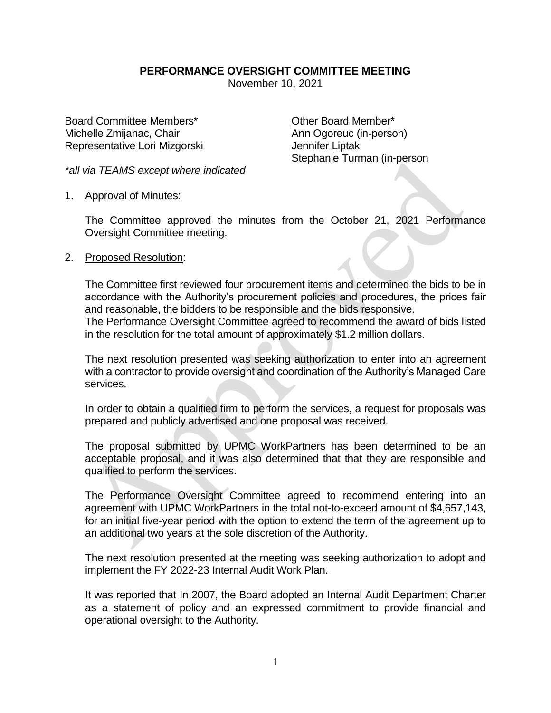## **PERFORMANCE OVERSIGHT COMMITTEE MEETING**

November 10, 2021

Board Committee Members\* Charless Committee Members Committee Members Michelle Zmijanac, Chair **Ann Ogoreuc (in-person)** Representative Lori Mizgorski Museum Museum Jennifer Liptak

Stephanie Turman (in-person

*\*all via TEAMS except where indicated*

1. Approval of Minutes:

The Committee approved the minutes from the October 21, 2021 Performance Oversight Committee meeting.

## 2. Proposed Resolution:

The Committee first reviewed four procurement items and determined the bids to be in accordance with the Authority's procurement policies and procedures, the prices fair and reasonable, the bidders to be responsible and the bids responsive.

The Performance Oversight Committee agreed to recommend the award of bids listed in the resolution for the total amount of approximately \$1.2 million dollars.

The next resolution presented was seeking authorization to enter into an agreement with a contractor to provide oversight and coordination of the Authority's Managed Care services.

In order to obtain a qualified firm to perform the services, a request for proposals was prepared and publicly advertised and one proposal was received.

The proposal submitted by UPMC WorkPartners has been determined to be an acceptable proposal, and it was also determined that that they are responsible and qualified to perform the services.

The Performance Oversight Committee agreed to recommend entering into an agreement with UPMC WorkPartners in the total not-to-exceed amount of \$4,657,143, for an initial five-year period with the option to extend the term of the agreement up to an additional two years at the sole discretion of the Authority.

The next resolution presented at the meeting was seeking authorization to adopt and implement the FY 2022-23 Internal Audit Work Plan.

It was reported that In 2007, the Board adopted an Internal Audit Department Charter as a statement of policy and an expressed commitment to provide financial and operational oversight to the Authority.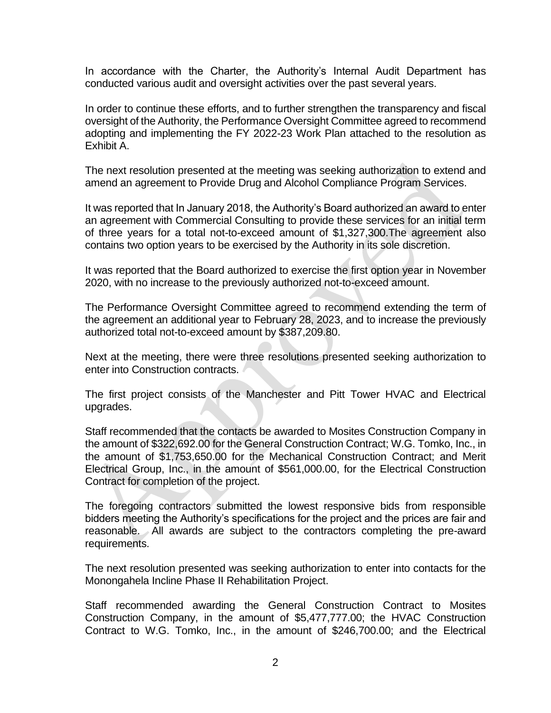In accordance with the Charter, the Authority's Internal Audit Department has conducted various audit and oversight activities over the past several years.

In order to continue these efforts, and to further strengthen the transparency and fiscal oversight of the Authority, the Performance Oversight Committee agreed to recommend adopting and implementing the FY 2022-23 Work Plan attached to the resolution as Exhibit A.

The next resolution presented at the meeting was seeking authorization to extend and amend an agreement to Provide Drug and Alcohol Compliance Program Services.

It was reported that In January 2018, the Authority's Board authorized an award to enter an agreement with Commercial Consulting to provide these services for an initial term of three years for a total not-to-exceed amount of \$1,327,300.The agreement also contains two option years to be exercised by the Authority in its sole discretion.

It was reported that the Board authorized to exercise the first option year in November 2020, with no increase to the previously authorized not-to-exceed amount.

The Performance Oversight Committee agreed to recommend extending the term of the agreement an additional year to February 28, 2023, and to increase the previously authorized total not-to-exceed amount by \$387,209.80.

Next at the meeting, there were three resolutions presented seeking authorization to enter into Construction contracts.

The first project consists of the Manchester and Pitt Tower HVAC and Electrical upgrades.

Staff recommended that the contacts be awarded to Mosites Construction Company in the amount of \$322,692.00 for the General Construction Contract; W.G. Tomko, Inc., in the amount of \$1,753,650.00 for the Mechanical Construction Contract; and Merit Electrical Group, Inc., in the amount of \$561,000.00, for the Electrical Construction Contract for completion of the project.

The foregoing contractors submitted the lowest responsive bids from responsible bidders meeting the Authority's specifications for the project and the prices are fair and reasonable. All awards are subject to the contractors completing the pre-award requirements.

The next resolution presented was seeking authorization to enter into contacts for the Monongahela Incline Phase II Rehabilitation Project.

Staff recommended awarding the General Construction Contract to Mosites Construction Company, in the amount of \$5,477,777.00; the HVAC Construction Contract to W.G. Tomko, Inc., in the amount of \$246,700.00; and the Electrical